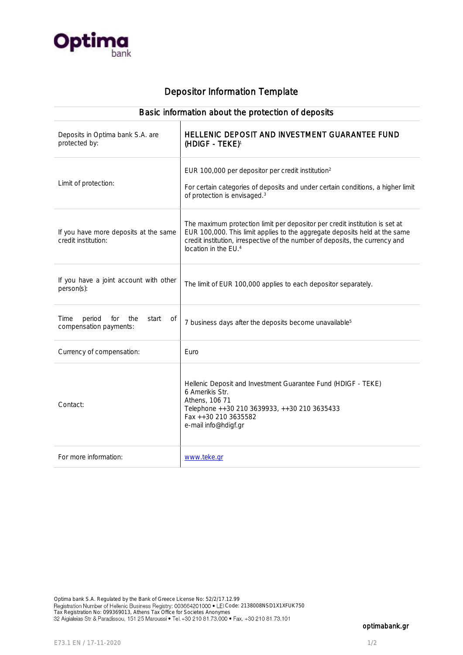

# Depositor Information Template

| Basic information about the protection of deposits                    |                                                                                                                                                                                                                                                                               |
|-----------------------------------------------------------------------|-------------------------------------------------------------------------------------------------------------------------------------------------------------------------------------------------------------------------------------------------------------------------------|
| Deposits in Optima bank S.A. are<br>protected by:                     | HELLENIC DEPOSIT AND INVESTMENT GUARANTEE FUND<br>(HDIGF - TEKE) <sup>1</sup>                                                                                                                                                                                                 |
| Limit of protection:                                                  | EUR 100,000 per depositor per credit institution <sup>2</sup><br>For certain categories of deposits and under certain conditions, a higher limit<br>of protection is envisaged. <sup>3</sup>                                                                                  |
| If you have more deposits at the same<br>credit institution:          | The maximum protection limit per depositor per credit institution is set at<br>EUR 100,000. This limit applies to the aggregate deposits held at the same<br>credit institution, irrespective of the number of deposits, the currency and<br>location in the EU. <sup>4</sup> |
| If you have a joint account with other<br>person(s):                  | The limit of EUR 100,000 applies to each depositor separately.                                                                                                                                                                                                                |
| Time<br>period<br>the<br>for<br>start<br>0f<br>compensation payments: | 7 business days after the deposits become unavailable <sup>5</sup>                                                                                                                                                                                                            |
| Currency of compensation:                                             | Euro                                                                                                                                                                                                                                                                          |
| Contact:                                                              | Hellenic Deposit and Investment Guarantee Fund (HDIGF - TEKE)<br>6 Amerikis Str.<br>Athens, 106 71<br>Telephone ++30 210 3639933, ++30 210 3635433<br>Fax ++30 210 3635582<br>e-mail info@hdigf.gr                                                                            |
| For more information:                                                 | www.teke.gr                                                                                                                                                                                                                                                                   |

optimabank.gr